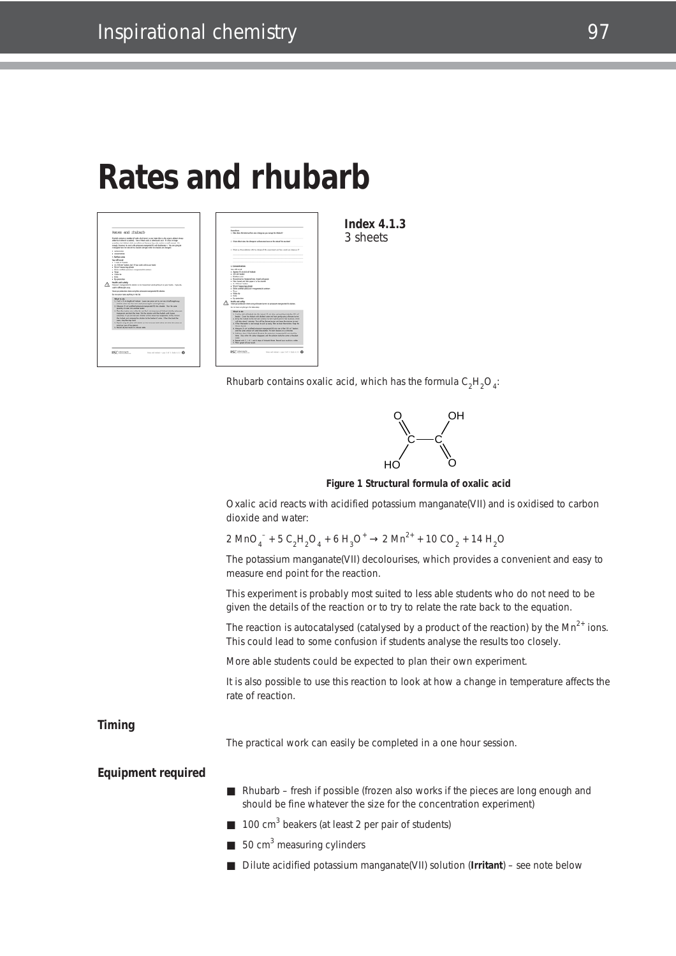# **Rates and rhubarb**



**Index 4.1.3** 3 sheets

Rhubarb contains oxalic acid, which has the formula  $\mathsf{C_2H_2O_4}\text{:}$ 



**Figure 1 Structural formula of oxalic acid**

Oxalic acid reacts with acidified potassium manganate(VII) and is oxidised to carbon dioxide and water:

$$
2 \text{ MnO}_4^- + 5 \text{ C}_2 \text{H}_2\text{O}_4 + 6 \text{ H}_3\text{O}^+ \rightarrow 2 \text{ Mn}^{2+} + 10 \text{ CO}_2 + 14 \text{ H}_2\text{O}
$$

The potassium manganate(VII) decolourises, which provides a convenient and easy to measure end point for the reaction.

This experiment is probably most suited to less able students who do not need to be given the details of the reaction or to try to relate the rate back to the equation.

The reaction is autocatalysed (catalysed by a product of the reaction) by the  $Mn^{2+}$  ions. This could lead to some confusion if students analyse the results too closely.

More able students could be expected to plan their own experiment.

It is also possible to use this reaction to look at how a change in temperature affects the rate of reaction.

**Timing**

The practical work can easily be completed in a one hour session.

#### **Equipment required**

- Rhubarb fresh if possible (frozen also works if the pieces are long enough and should be fine whatever the size for the concentration experiment)
- $\blacksquare$  100 cm<sup>3</sup> beakers (at least 2 per pair of students)
- $\blacksquare$  50 cm<sup>3</sup> measuring cylinders
- Dilute acidified potassium manganate(VII) solution (**Irritant**) see note below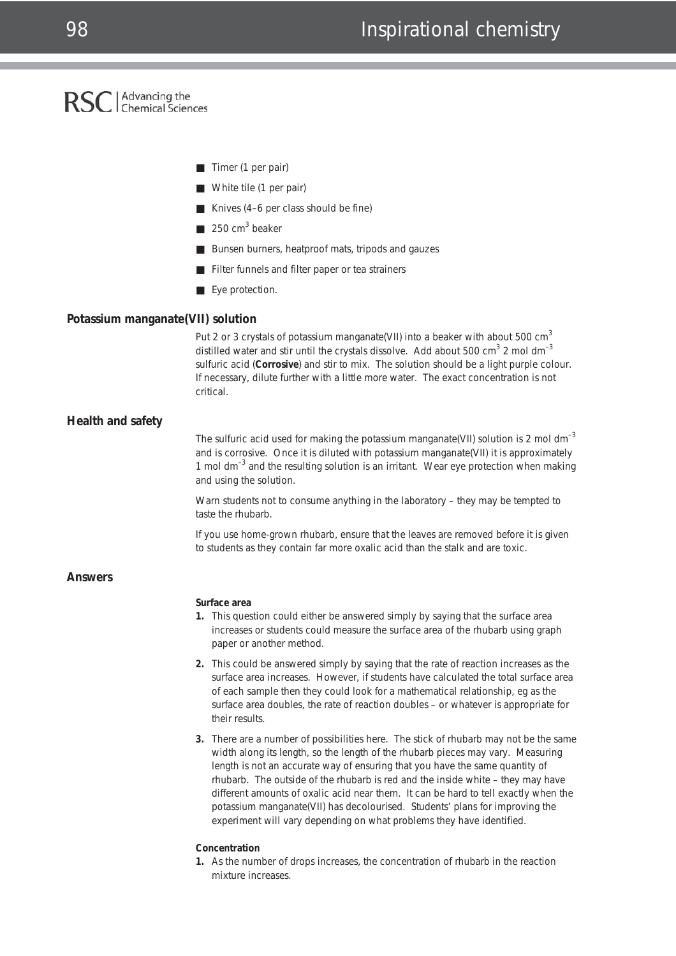# RSC | Advancing the

- Timer (1 per pair)
- White tile (1 per pair)
- Knives (4–6 per class should be fine)
- 250 cm<sup>3</sup> beaker
- Bunsen burners, heatproof mats, tripods and gauzes
- Filter funnels and filter paper or tea strainers
- Eye protection.

#### **Potassium manganate(VII) solution**

Put 2 or 3 crystals of potassium manganate(VII) into a beaker with about 500  $cm<sup>3</sup>$ distilled water and stir until the crystals dissolve. Add about 500  $\text{cm}^3$  2 mol dm<sup>-3</sup> sulfuric acid (**Corrosive**) and stir to mix. The solution should be a light purple colour. If necessary, dilute further with a little more water. The exact concentration is not critical.

#### **Health and safety**

The sulfuric acid used for making the potassium manganate(VII) solution is 2 mol dm<sup>-3</sup> and is corrosive. Once it is diluted with potassium manganate(VII) it is approximately 1 mol dm–3 and the resulting solution is an irritant. Wear eye protection when making and using the solution.

Warn students not to consume anything in the laboratory – they may be tempted to taste the rhubarb.

If you use home-grown rhubarb, ensure that the leaves are removed before it is given to students as they contain far more oxalic acid than the stalk and are toxic.

#### **Answers**

#### **Surface area**

- **1.** This question could either be answered simply by saying that the surface area increases or students could measure the surface area of the rhubarb using graph paper or another method.
- **2.** This could be answered simply by saying that the rate of reaction increases as the surface area increases. However, if students have calculated the total surface area of each sample then they could look for a mathematical relationship, *eg* as the surface area doubles, the rate of reaction doubles – or whatever is appropriate for their results.
- **3.** There are a number of possibilities here. The stick of rhubarb may not be the same width along its length, so the length of the rhubarb pieces may vary. Measuring length is not an accurate way of ensuring that you have the same quantity of rhubarb. The outside of the rhubarb is red and the inside white – they may have different amounts of oxalic acid near them. It can be hard to tell exactly when the potassium manganate(VII) has decolourised. Students' plans for improving the experiment will vary depending on what problems they have identified.

#### **Concentration**

**1.** As the number of drops increases, the concentration of rhubarb in the reaction mixture increases.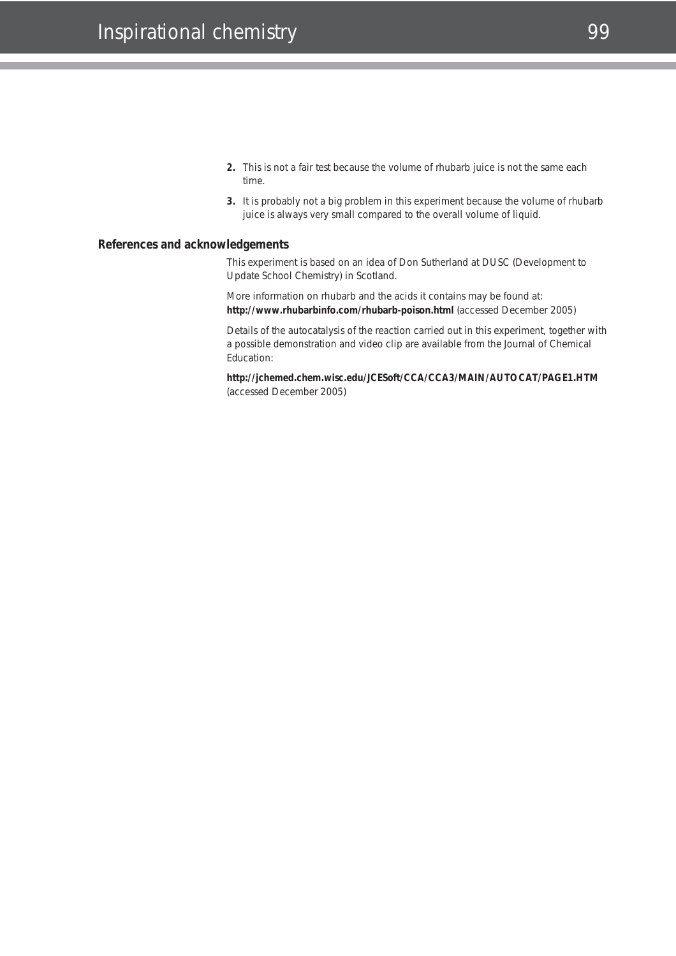- **2.** This is not a fair test because the volume of rhubarb juice is not the same each time.
- **3.** It is probably not a big problem in this experiment because the volume of rhubarb juice is always very small compared to the overall volume of liquid.

### **References and acknowledgements**

This experiment is based on an idea of Don Sutherland at DUSC (Development to Update School Chemistry) in Scotland.

More information on rhubarb and the acids it contains may be found at: **http://www.rhubarbinfo.com/rhubarb-poison.html** (accessed December 2005)

Details of the autocatalysis of the reaction carried out in this experiment, together with a possible demonstration and video clip are available from the Journal of Chemical Education:

**http://jchemed.chem.wisc.edu/JCESoft/CCA/CCA3/MAIN/AUTOCAT/PAGE1.HTM** (accessed December 2005)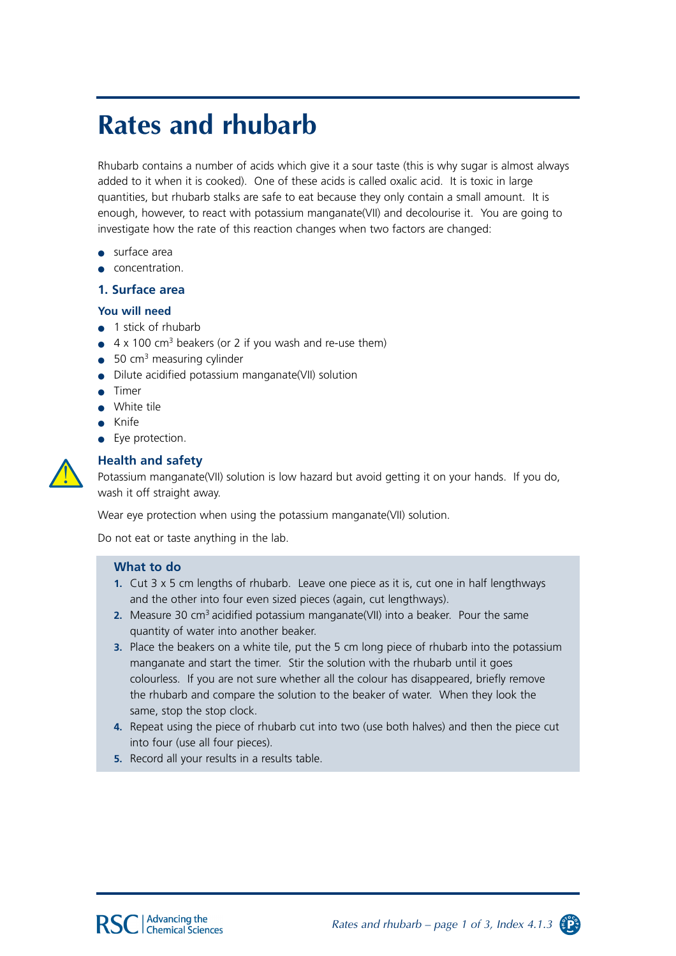# **Rates and rhubarb**

Rhubarb contains a number of acids which give it a sour taste (this is why sugar is almost always added to it when it is cooked). One of these acids is called oxalic acid. It is toxic in large quantities, but rhubarb stalks are safe to eat because they only contain a small amount. It is enough, however, to react with potassium manganate(VII) and decolourise it. You are going to investigate how the rate of this reaction changes when two factors are changed:

- $\bullet$  surface area
- concentration.

#### 1. Surface area

#### You will need

- $\bullet$  1 stick of rhubarb
- $\bullet$  4 x 100 cm<sup>3</sup> beakers (or 2 if you wash and re-use them)
- $\bullet$  50 cm<sup>3</sup> measuring cylinder
- Dilute acidified potassium manganate(VII) solution
- Timer
- · White tile
- $\bullet$  Knife
- Eye protection.



### **Health and safety**

Potassium manganate(VII) solution is low hazard but avoid getting it on your hands. If you do, wash it off straight away.

Wear eye protection when using the potassium manganate(VII) solution.

Do not eat or taste anything in the lab.

#### What to do

- 1. Cut 3 x 5 cm lengths of rhubarb. Leave one piece as it is, cut one in half lengthways and the other into four even sized pieces (again, cut lengthways).
- 2. Measure 30 cm<sup>3</sup> acidified potassium manganate(VII) into a beaker. Pour the same quantity of water into another beaker.
- 3. Place the beakers on a white tile, put the 5 cm long piece of rhubarb into the potassium manganate and start the timer. Stir the solution with the rhubarb until it goes colourless. If you are not sure whether all the colour has disappeared, briefly remove the rhubarb and compare the solution to the beaker of water. When they look the same, stop the stop clock.
- 4. Repeat using the piece of rhubarb cut into two (use both halves) and then the piece cut into four (use all four pieces).
- 5. Record all your results in a results table.

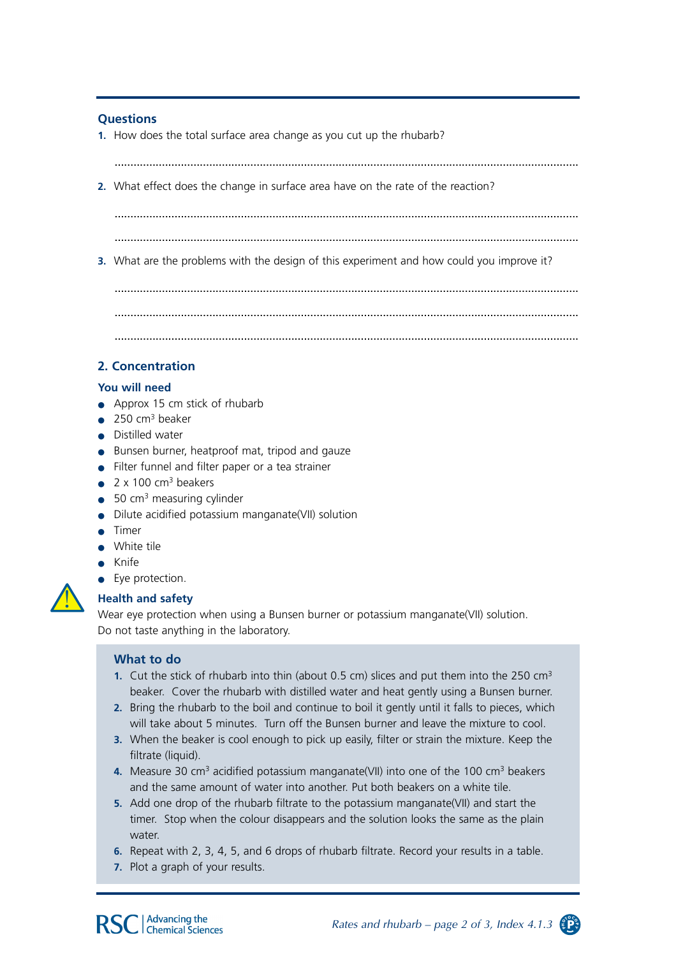### **Questions**

1. How does the total surface area change as you cut up the rhubarb?

2. What effect does the change in surface area have on the rate of the reaction?

3. What are the problems with the design of this experiment and how could you improve it?

## 2. Concentration

### You will need

- $\bullet$  Approx 15 cm stick of rhubarb
- $\bullet$  250 cm<sup>3</sup> beaker
- Distilled water
- Bunsen burner, heatproof mat, tripod and gauze
- Filter funnel and filter paper or a tea strainer
- $\bullet$  2 x 100 cm<sup>3</sup> beakers
- $\bullet$  50 cm<sup>3</sup> measuring cylinder
- Dilute acidified potassium manganate(VII) solution
- $\bullet$  Timer
- · White tile
- $\bullet$  Knife
- Eve protection.

### **Health and safety**

Wear eye protection when using a Bunsen burner or potassium manganate(VII) solution. Do not taste anything in the laboratory.

### What to do

- 1. Cut the stick of rhubarb into thin (about 0.5 cm) slices and put them into the 250 cm<sup>3</sup> beaker. Cover the rhubarb with distilled water and heat gently using a Bunsen burner.
- 2. Bring the rhubarb to the boil and continue to boil it gently until it falls to pieces, which will take about 5 minutes. Turn off the Bunsen burner and leave the mixture to cool.
- 3. When the beaker is cool enough to pick up easily, filter or strain the mixture. Keep the filtrate (liquid).
- 4. Measure 30 cm<sup>3</sup> acidified potassium manganate(VII) into one of the 100 cm<sup>3</sup> beakers and the same amount of water into another. Put both beakers on a white tile.
- 5. Add one drop of the rhubarb filtrate to the potassium manganate (VII) and start the timer. Stop when the colour disappears and the solution looks the same as the plain water.
- 6. Repeat with 2, 3, 4, 5, and 6 drops of rhubarb filtrate. Record your results in a table.
- 7. Plot a graph of your results.